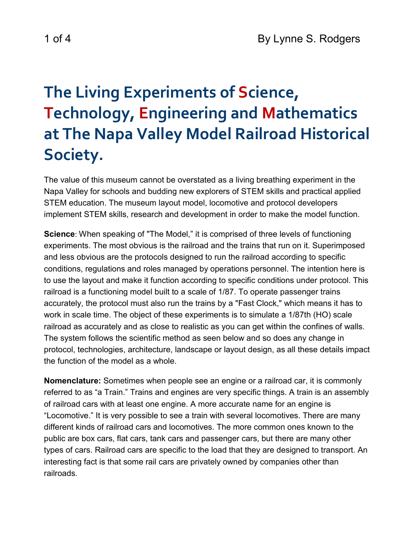## **The Living Experiments of Science, Technology, Engineering and Mathematics at The Napa Valley Model Railroad Historical Society.**

The value of this museum cannot be overstated as a living breathing experiment in the Napa Valley for schools and budding new explorers of STEM skills and practical applied STEM education. The museum layout model, locomotive and protocol developers implement STEM skills, research and development in order to make the model function.

**Science**: When speaking of "The Model," it is comprised of three levels of functioning experiments. The most obvious is the railroad and the trains that run on it. Superimposed and less obvious are the protocols designed to run the railroad according to specific conditions, regulations and roles managed by operations personnel. The intention here is to use the layout and make it function according to specific conditions under protocol. This railroad is a functioning model built to a scale of 1/87. To operate passenger trains accurately, the protocol must also run the trains by a "Fast Clock," which means it has to work in scale time. The object of these experiments is to simulate a 1/87th (HO) scale railroad as accurately and as close to realistic as you can get within the confines of walls. The system follows the scientific method as seen below and so does any change in protocol, technologies, architecture, landscape or layout design, as all these details impact the function of the model as a whole.

**Nomenclature:** Sometimes when people see an engine or a railroad car, it is commonly referred to as "a Train." Trains and engines are very specific things. A train is an assembly of railroad cars with at least one engine. A more accurate name for an engine is "Locomotive." It is very possible to see a train with several locomotives. There are many different kinds of railroad cars and locomotives. The more common ones known to the public are box cars, flat cars, tank cars and passenger cars, but there are many other types of cars. Railroad cars are specific to the load that they are designed to transport. An interesting fact is that some rail cars are privately owned by companies other than railroads.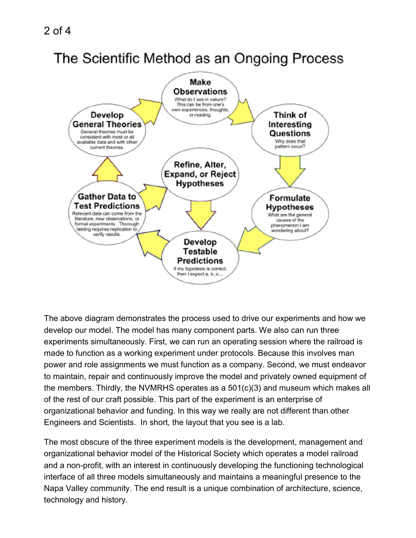## The Scientific Method as an Ongoing Process



The above diagram demonstrates the process used to drive our experiments and how we develop our model. The model has many component parts. We also can run three experiments simultaneously. First, we can run an operating session where the railroad is made to function as a working experiment under protocols. Because this involves man power and role assignments we must function as a company. Second, we must endeavor to maintain, repair and continuously improve the model and privately owned equipment of the members. Thirdly, the NVMRHS operates as a 501(c)(3) and museum which makes all of the rest of our craft possible. This part of the experiment is an enterprise of organizational behavior and funding. In this way we really are not different than other Engineers and Scientists. In short, the layout that you see is a lab.

The most obscure of the three experiment models is the development, management and organizational behavior model of the Historical Society which operates a model railroad and a non-profit, with an interest in continuously developing the functioning technological interface of all three models simultaneously and maintains a meaningful presence to the Napa Valley community. The end result is a unique combination of architecture, science, technology and history.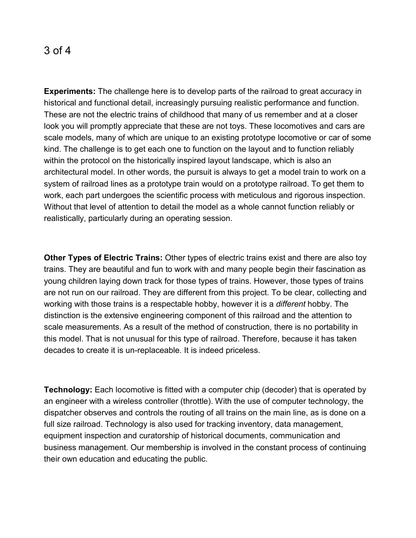## 3 of 4

**Experiments:** The challenge here is to develop parts of the railroad to great accuracy in historical and functional detail, increasingly pursuing realistic performance and function. These are not the electric trains of childhood that many of us remember and at a closer look you will promptly appreciate that these are not toys. These locomotives and cars are scale models, many of which are unique to an existing prototype locomotive or car of some kind. The challenge is to get each one to function on the layout and to function reliably within the protocol on the historically inspired layout landscape, which is also an architectural model. In other words, the pursuit is always to get a model train to work on a system of railroad lines as a prototype train would on a prototype railroad. To get them to work, each part undergoes the scientific process with meticulous and rigorous inspection. Without that level of attention to detail the model as a whole cannot function reliably or realistically, particularly during an operating session.

**Other Types of Electric Trains:** Other types of electric trains exist and there are also toy trains. They are beautiful and fun to work with and many people begin their fascination as young children laying down track for those types of trains. However, those types of trains are not run on our railroad. They are different from this project. To be clear, collecting and working with those trains is a respectable hobby, however it is a *different* hobby. The distinction is the extensive engineering component of this railroad and the attention to scale measurements. As a result of the method of construction, there is no portability in this model. That is not unusual for this type of railroad. Therefore, because it has taken decades to create it is un-replaceable. It is indeed priceless.

**Technology:** Each locomotive is fitted with a computer chip (decoder) that is operated by an engineer with a wireless controller (throttle). With the use of computer technology, the dispatcher observes and controls the routing of all trains on the main line, as is done on a full size railroad. Technology is also used for tracking inventory, data management, equipment inspection and curatorship of historical documents, communication and business management. Our membership is involved in the constant process of continuing their own education and educating the public.